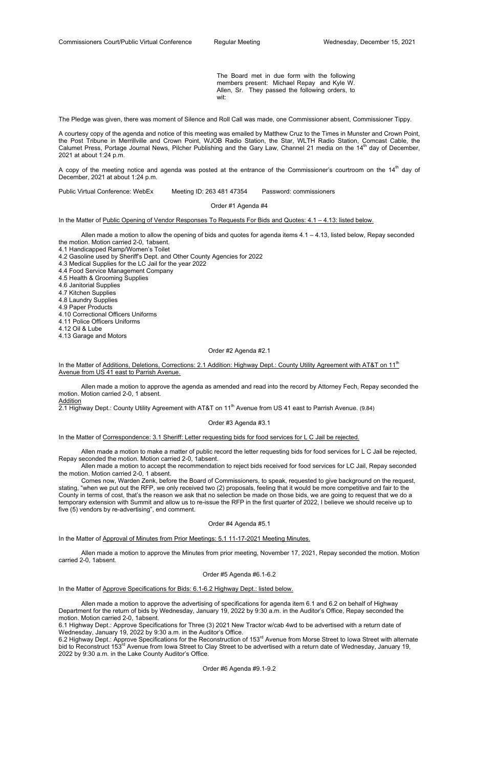The Board met in due form with the following members present: Michael Repay and Kyle W. Allen, Sr. They passed the following orders, to wit:

The Pledge was given, there was moment of Silence and Roll Call was made, one Commissioner absent, Commissioner Tippy.

A copy of the meeting notice and agenda was posted at the entrance of the Commissioner's courtroom on the  $14<sup>th</sup>$  day of December, 2021 at about 1:24 p.m.

A courtesy copy of the agenda and notice of this meeting was emailed by Matthew Cruz to the Times in Munster and Crown Point, the Post Tribune in Merrillville and Crown Point, WJOB Radio Station, the Star, WLTH Radio Station, Comcast Cable, the Calumet Press, Portage Journal News, Pilcher Publishing and the Gary Law, Channel 21 media on the 14<sup>th</sup> day of December, 2021 at about 1:24 p.m.

Allen made a motion to allow the opening of bids and quotes for agenda items  $4.1 - 4.13$ , listed below, Repay seconded the motion. Motion carried 2-0, 1absent.

Public Virtual Conference: WebEx Meeting ID: 263 481 47354 Password: commissioners

In the Matter of Additions, Deletions, Corrections: 2.1 Addition: Highway Dept.: County Utility Agreement with AT&T on 11<sup>th</sup> Avenue from US 41 east to Parrish Avenue.

Order #1 Agenda #4

In the Matter of Public Opening of Vendor Responses To Requests For Bids and Quotes: 4.1 – 4.13: listed below.

- 4.1 Handicapped Ramp/Women's Toilet
- 4.2 Gasoline used by Sheriff's Dept. and Other County Agencies for 2022
- 4.3 Medical Supplies for the LC Jail for the year 2022
- 4.4 Food Service Management Company
- 4.5 Health & Grooming Supplies
- 4.6 Janitorial Supplies
- 4.7 Kitchen Supplies
- 4.8 Laundry Supplies
- 4.9 Paper Products
- 4.10 Correctional Officers Uniforms
- 4.11 Police Officers Uniforms
- 4.12 Oil & Lube
- 4.13 Garage and Motors

#### Order #2 Agenda #2.1

 Allen made a motion to approve the agenda as amended and read into the record by Attorney Fech, Repay seconded the motion. Motion carried 2-0, 1 absent. Addition

2.1 Highway Dept.: County Utility Agreement with AT&T on 11<sup>th</sup> Avenue from US 41 east to Parrish Avenue. (9.84)

6.2 Highway Dept.: Approve Specifications for the Reconstruction of 153<sup>rd</sup> Avenue from Morse Street to Iowa Street with alternate bid to Reconstruct 153<sup>rd</sup> Avenue from Iowa Street to Clay Street to be advertised with a return date of Wednesday, January 19, 2022 by 9:30 a.m. in the Lake County Auditor's Office.

#### Order #3 Agenda #3.1

In the Matter of Correspondence: 3.1 Sheriff: Letter requesting bids for food services for L C Jail be rejected.

 Allen made a motion to make a matter of public record the letter requesting bids for food services for L C Jail be rejected, Repay seconded the motion. Motion carried 2-0, 1absent.

 Allen made a motion to accept the recommendation to reject bids received for food services for LC Jail, Repay seconded the motion. Motion carried 2-0, 1 absent.

 Comes now, Warden Zenk, before the Board of Commissioners, to speak, requested to give background on the request, stating, "when we put out the RFP, we only received two (2) proposals, feeling that it would be more competitive and fair to the County in terms of cost, that's the reason we ask that no selection be made on those bids, we are going to request that we do a temporary extension with Summit and allow us to re-issue the RFP in the first quarter of 2022, I believe we should receive up to five (5) vendors by re-advertising", end comment.

Order #4 Agenda #5.1

In the Matter of Approval of Minutes from Prior Meetings: 5.1 11-17-2021 Meeting Minutes.

 Allen made a motion to approve the Minutes from prior meeting, November 17, 2021, Repay seconded the motion. Motion carried 2-0, 1absent.

## Order #5 Agenda #6.1-6.2

In the Matter of Approve Specifications for Bids: 6.1-6.2 Highway Dept.: listed below.

 Allen made a motion to approve the advertising of specifications for agenda item 6.1 and 6.2 on behalf of Highway Department for the return of bids by Wednesday, January 19, 2022 by 9:30 a.m. in the Auditor's Office, Repay seconded the motion. Motion carried 2-0, 1absent.

6.1 Highway Dept.: Approve Specifications for Three (3) 2021 New Tractor w/cab 4wd to be advertised with a return date of Wednesday, January 19, 2022 by 9:30 a.m. in the Auditor's Office.

Order #6 Agenda #9.1-9.2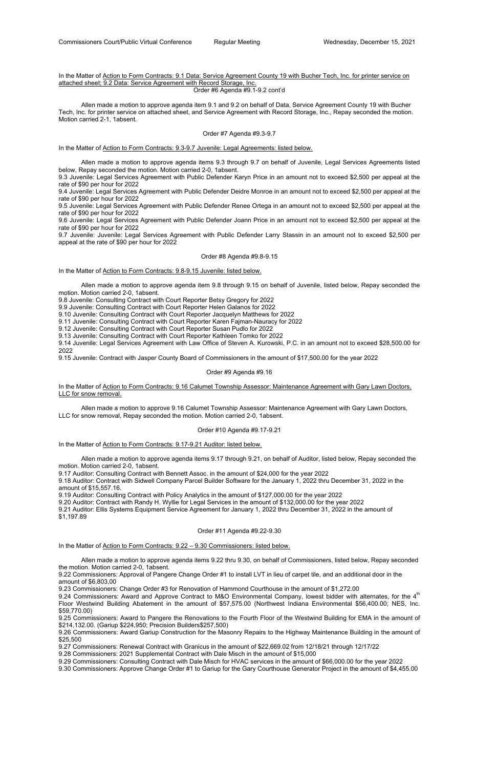# In the Matter of Action to Form Contracts: 9.1 Data: Service Agreement County 19 with Bucher Tech, Inc. for printer service on attached sheet; 9.2 Data: Service Agreement with Record Storage, Inc.

Order #6 Agenda #9.1-9.2 cont'd

 Allen made a motion to approve agenda item 9.1 and 9.2 on behalf of Data, Service Agreement County 19 with Bucher Tech, Inc. for printer service on attached sheet, and Service Agreement with Record Storage, Inc., Repay seconded the motion. Motion carried 2-1, 1absent.

### Order #7 Agenda #9.3-9.7

In the Matter of Action to Form Contracts: 9.3-9.7 Juvenile: Legal Agreements: listed below.

 Allen made a motion to approve agenda items 9.3 through 9.7 on behalf of Juvenile, Legal Services Agreements listed below, Repay seconded the motion. Motion carried 2-0, 1absent.

9.3 Juvenile: Legal Services Agreement with Public Defender Karyn Price in an amount not to exceed \$2,500 per appeal at the rate of \$90 per hour for 2022

9.4 Juvenile: Legal Services Agreement with Public Defender Deidre Monroe in an amount not to exceed \$2,500 per appeal at the rate of \$90 per hour for 2022

9.5 Juvenile: Legal Services Agreement with Public Defender Renee Ortega in an amount not to exceed \$2,500 per appeal at the rate of \$90 per hour for 2022

In the Matter of Action to Form Contracts: 9.16 Calumet Township Assessor: Maintenance Agreement with Gary Lawn Doctors, LLC for snow removal.

9.6 Juvenile: Legal Services Agreement with Public Defender Joann Price in an amount not to exceed \$2,500 per appeal at the rate of \$90 per hour for 2022

9.7 Juvenile: Juvenile: Legal Services Agreement with Public Defender Larry Stassin in an amount not to exceed \$2,500 per appeal at the rate of \$90 per hour for 2022

## Order #8 Agenda #9.8-9.15

In the Matter of Action to Form Contracts: 9.8-9.15 Juvenile: listed below.

 Allen made a motion to approve agenda item 9.8 through 9.15 on behalf of Juvenile, listed below, Repay seconded the motion. Motion carried 2-0, 1absent.

9.8 Juvenile: Consulting Contract with Court Reporter Betsy Gregory for 2022

9.9 Juvenile: Consulting Contract with Court Reporter Helen Galanos for 2022

9.10 Juvenile: Consulting Contract with Court Reporter Jacquelyn Matthews for 2022

9.11 Juvenile: Consulting Contract with Court Reporter Karen Fajman-Nauracy for 2022

9.12 Juvenile: Consulting Contract with Court Reporter Susan Pudlo for 2022

9.24 Commissioners: Award and Approve Contract to M&O Environmental Company, lowest bidder with alternates, for the 4<sup>th</sup> Floor Westwind Building Abatement in the amount of \$57,575.00 (Northwest Indiana Environmental \$56,400.00; NES, Inc. \$59,770.00)

9.13 Juvenile: Consulting Contract with Court Reporter Kathleen Tomko for 2022

9.14 Juvenile: Legal Services Agreement with Law Office of Steven A. Kurowski, P.C. in an amount not to exceed \$28,500.00 for 2022

9.15 Juvenile: Contract with Jasper County Board of Commissioners in the amount of \$17,500.00 for the year 2022

## Order #9 Agenda #9.16

 Allen made a motion to approve 9.16 Calumet Township Assessor: Maintenance Agreement with Gary Lawn Doctors, LLC for snow removal, Repay seconded the motion. Motion carried 2-0, 1absent.

### Order #10 Agenda #9.17-9.21

In the Matter of Action to Form Contracts: 9.17-9.21 Auditor: listed below.

 Allen made a motion to approve agenda items 9.17 through 9.21, on behalf of Auditor, listed below, Repay seconded the motion. Motion carried 2-0, 1absent.

9.17 Auditor: Consulting Contract with Bennett Assoc. in the amount of \$24,000 for the year 2022

9.18 Auditor: Contract with Sidwell Company Parcel Builder Software for the January 1, 2022 thru December 31, 2022 in the amount of \$15,557.16.

9.19 Auditor: Consulting Contract with Policy Analytics in the amount of \$127,000.00 for the year 2022

9.20 Auditor: Contract with Randy H. Wyllie for Legal Services in the amount of \$132,000.00 for the year 2022

9.21 Auditor: Ellis Systems Equipment Service Agreement for January 1, 2022 thru December 31, 2022 in the amount of \$1,197.89

Order #11 Agenda #9.22-9.30

In the Matter of Action to Form Contracts: 9.22 – 9.30 Commissioners: listed below.

Allen made a motion to approve agenda items 9.22 thru 9.30, on behalf of Commissioners, listed below, Repay seconded

the motion. Motion carried 2-0, 1absent.

9.22 Commissioners: Approval of Pangere Change Order #1 to install LVT in lieu of carpet tile, and an additional door in the amount of \$6,803,00

9.23 Commissioners: Change Order #3 for Renovation of Hammond Courthouse in the amount of \$1,272.00

9.25 Commissioners: Award to Pangere the Renovations to the Fourth Floor of the Westwind Building for EMA in the amount of \$214,132.00. (Gariup \$224,950; Precision Builders\$257,500)

9.26 Commissioners: Award Gariup Construction for the Masonry Repairs to the Highway Maintenance Building in the amount of \$25,500

9.27 Commissioners: Renewal Contract with Granicus in the amount of \$22,669.02 from 12/18/21 through 12/17/22

9.28 Commissioners: 2021 Supplemental Contract with Dale Misch in the amount of \$15,000

9.29 Commissioners: Consulting Contract with Dale Misch for HVAC services in the amount of \$66,000.00 for the year 2022

9.30 Commissioners: Approve Change Order #1 to Gariup for the Gary Courthouse Generator Project in the amount of \$4,455.00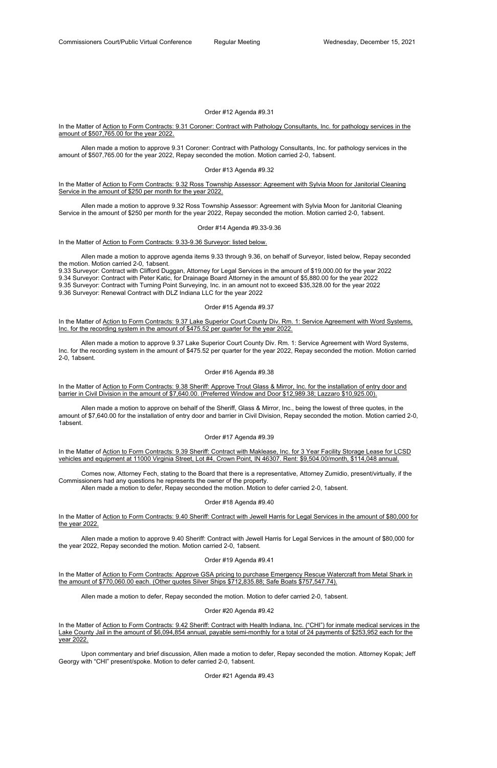## Order #12 Agenda #9.31

In the Matter of Action to Form Contracts: 9.31 Coroner: Contract with Pathology Consultants, Inc. for pathology services in the amount of \$507,765.00 for the year 2022.

 Allen made a motion to approve 9.31 Coroner: Contract with Pathology Consultants, Inc. for pathology services in the amount of \$507,765.00 for the year 2022, Repay seconded the motion. Motion carried 2-0, 1absent.

## Order #13 Agenda #9.32

In the Matter of Action to Form Contracts: 9.32 Ross Township Assessor: Agreement with Sylvia Moon for Janitorial Cleaning Service in the amount of \$250 per month for the year 2022.

 Allen made a motion to approve 9.32 Ross Township Assessor: Agreement with Sylvia Moon for Janitorial Cleaning Service in the amount of \$250 per month for the year 2022, Repay seconded the motion. Motion carried 2-0, 1absent.

In the Matter of Action to Form Contracts: 9.37 Lake Superior Court County Div. Rm. 1: Service Agreement with Word Systems, Inc. for the recording system in the amount of \$475.52 per quarter for the year 2022.

## Order #14 Agenda #9.33-9.36

In the Matter of Action to Form Contracts: 9.33-9.36 Surveyor: listed below.

 Allen made a motion to approve agenda items 9.33 through 9.36, on behalf of Surveyor, listed below, Repay seconded the motion. Motion carried 2-0, 1absent.

In the Matter of Action to Form Contracts: 9.38 Sheriff: Approve Trout Glass & Mirror, Inc. for the installation of entry door and barrier in Civil Division in the amount of \$7,640.00. (Preferred Window and Door \$12,989.38; Lazzaro \$10,925.00).

9.33 Surveyor: Contract with Clifford Duggan, Attorney for Legal Services in the amount of \$19,000.00 for the year 2022 9.34 Surveyor: Contract with Peter Katic, for Drainage Board Attorney in the amount of \$5,880.00 for the year 2022 9.35 Surveyor: Contract with Turning Point Surveying, Inc. in an amount not to exceed \$35,328.00 for the year 2022 9.36 Surveyor: Renewal Contract with DLZ Indiana LLC for the year 2022

In the Matter of Action to Form Contracts: 9.39 Sheriff: Contract with Maklease, Inc. for 3 Year Facility Storage Lease for LCSD vehicles and equipment at 11000 Virginia Street, Lot #4, Crown Point, IN 46307. Rent: \$9,504.00/month, \$114,048 annual.

In the Matter of Action to Form Contracts: 9.40 Sheriff: Contract with Jewell Harris for Legal Services in the amount of \$80,000 for the year 2022.

## Order #15 Agenda #9.37

In the Matter of Action to Form Contracts: Approve GSA pricing to purchase Emergency Rescue Watercraft from Metal Shark in the amount of \$770,060.00 each. (Other quotes Silver Ships \$712,835.88; Safe Boats \$757,547.74).

 Allen made a motion to approve 9.37 Lake Superior Court County Div. Rm. 1: Service Agreement with Word Systems, Inc. for the recording system in the amount of \$475.52 per quarter for the year 2022, Repay seconded the motion. Motion carried 2-0, 1absent.

In the Matter of Action to Form Contracts: 9.42 Sheriff: Contract with Health Indiana, Inc. ("CHI") for inmate medical services in the Lake County Jail in the amount of \$6,094,854 annual, payable semi-monthly for a total of 24 payments of \$253,952 each for the year 2022.

## Order #16 Agenda #9.38

 Allen made a motion to approve on behalf of the Sheriff, Glass & Mirror, Inc., being the lowest of three quotes, in the amount of \$7,640.00 for the installation of entry door and barrier in Civil Division, Repay seconded the motion. Motion carried 2-0, 1absent.

## Order #17 Agenda #9.39

 Comes now, Attorney Fech, stating to the Board that there is a representative, Attorney Zumidio, present/virtually, if the Commissioners had any questions he represents the owner of the property.

Allen made a motion to defer, Repay seconded the motion. Motion to defer carried 2-0, 1absent.

## Order #18 Agenda #9.40

 Allen made a motion to approve 9.40 Sheriff: Contract with Jewell Harris for Legal Services in the amount of \$80,000 for the year 2022, Repay seconded the motion. Motion carried 2-0, 1absent.

Allen made a motion to defer, Repay seconded the motion. Motion to defer carried 2-0, 1absent.

Order #20 Agenda #9.42

 Upon commentary and brief discussion, Allen made a motion to defer, Repay seconded the motion. Attorney Kopak; Jeff Georgy with "CHI" present/spoke. Motion to defer carried 2-0, 1absent.

Order #21 Agenda #9.43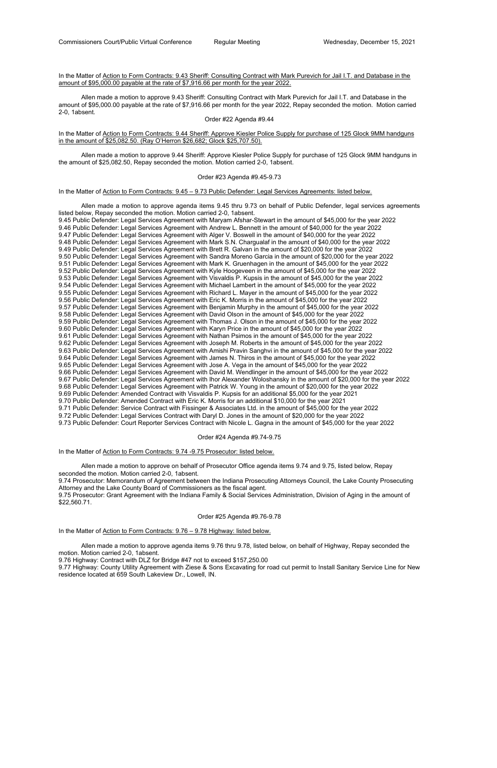## In the Matter of Action to Form Contracts: 9.43 Sheriff: Consulting Contract with Mark Purevich for Jail I.T. and Database in the amount of \$95,000.00 payable at the rate of \$7,916.66 per month for the year 2022.

In the Matter of Action to Form Contracts: 9.44 Sheriff: Approve Kiesler Police Supply for purchase of 125 Glock 9MM handguns in the amount of \$25,082.50. (Ray O'Herron \$26,682; Glock \$25,707.50).

 Allen made a motion to approve 9.43 Sheriff: Consulting Contract with Mark Purevich for Jail I.T. and Database in the amount of \$95,000.00 payable at the rate of \$7,916.66 per month for the year 2022, Repay seconded the motion. Motion carried 2-0, 1absent.

### Order #22 Agenda #9.44

 Allen made a motion to approve 9.44 Sheriff: Approve Kiesler Police Supply for purchase of 125 Glock 9MM handguns in the amount of \$25,082.50, Repay seconded the motion. Motion carried 2-0, 1absent.

#### Order #23 Agenda #9.45-9.73

In the Matter of Action to Form Contracts:  $9.45 - 9.73$  Public Defender: Legal Services Agreements: listed below.

 Allen made a motion to approve agenda items 9.45 thru 9.73 on behalf of Public Defender, legal services agreements listed below, Repay seconded the motion. Motion carried 2-0, 1absent. 9.45 Public Defender: Legal Services Agreement with Maryam Afshar-Stewart in the amount of \$45,000 for the year 2022 9.46 Public Defender: Legal Services Agreement with Andrew L. Bennett in the amount of \$40,000 for the year 2022 9.47 Public Defender: Legal Services Agreement with Alger V. Boswell in the amount of \$40,000 for the year 2022 9.48 Public Defender: Legal Services Agreement with Mark S.N. Chargualaf in the amount of \$40,000 for the year 2022 9.49 Public Defender: Legal Services Agreement with Brett R. Galvan in the amount of \$20,000 for the year 2022 9.50 Public Defender: Legal Services Agreement with Sandra Moreno Garcia in the amount of \$20,000 for the year 2022 9.51 Public Defender: Legal Services Agreement with Mark K. Gruenhagen in the amount of \$45,000 for the year 2022 9.52 Public Defender: Legal Services Agreement with Kyle Hoogeveen in the amount of \$45,000 for the year 2022 9.53 Public Defender: Legal Services Agreement with Visvaldis P. Kupsis in the amount of \$45,000 for the year 2022 9.54 Public Defender: Legal Services Agreement with Michael Lambert in the amount of \$45,000 for the year 2022 9.55 Public Defender: Legal Services Agreement with Richard L. Mayer in the amount of \$45,000 for the year 2022 9.56 Public Defender: Legal Services Agreement with Eric K. Morris in the amount of \$45,000 for the year 2022 9.57 Public Defender: Legal Services Agreement with Benjamin Murphy in the amount of \$45,000 for the year 2022 9.58 Public Defender: Legal Services Agreement with David Olson in the amount of \$45,000 for the year 2022 9.59 Public Defender: Legal Services Agreement with Thomas J. Olson in the amount of \$45,000 for the year 2022 9.60 Public Defender: Legal Services Agreement with Karyn Price in the amount of \$45,000 for the year 2022 9.61 Public Defender: Legal Services Agreement with Nathan Psimos in the amount of \$45,000 for the year 2022 9.62 Public Defender: Legal Services Agreement with Joseph M. Roberts in the amount of \$45,000 for the year 2022 9.63 Public Defender: Legal Services Agreement with Amishi Pravin Sanghvi in the amount of \$45,000 for the year 2022 9.64 Public Defender: Legal Services Agreement with James N. Thiros in the amount of \$45,000 for the year 2022 9.65 Public Defender: Legal Services Agreement with Jose A. Vega in the amount of \$45,000 for the year 2022 9.66 Public Defender: Legal Services Agreement with David M. Wendlinger in the amount of \$45,000 for the year 2022 9.67 Public Defender: Legal Services Agreement with Ihor Alexander Woloshansky in the amount of \$20,000 for the year 2022 9.68 Public Defender: Legal Services Agreement with Patrick W. Young in the amount of \$20,000 for the year 2022 9.69 Public Defender: Amended Contract with Visvaldis P. Kupsis for an additional \$5,000 for the year 2021 9.70 Public Defender: Amended Contract with Eric K. Morris for an additional \$10,000 for the year 2021 9.71 Public Defender: Service Contract with Fissinger & Associates Ltd. in the amount of \$45,000 for the year 2022 9.72 Public Defender: Legal Services Contract with Daryl D. Jones in the amount of \$20,000 for the year 2022 9.73 Public Defender: Court Reporter Services Contract with Nicole L. Gagna in the amount of \$45,000 for the year 2022

### Order #24 Agenda #9.74-9.75

In the Matter of Action to Form Contracts: 9.74 -9.75 Prosecutor: listed below.

 Allen made a motion to approve on behalf of Prosecutor Office agenda items 9.74 and 9.75, listed below, Repay seconded the motion. Motion carried 2-0, 1absent.

9.74 Prosecutor: Memorandum of Agreement between the Indiana Prosecuting Attorneys Council, the Lake County Prosecuting Attorney and the Lake County Board of Commissioners as the fiscal agent.

9.75 Prosecutor: Grant Agreement with the Indiana Family & Social Services Administration, Division of Aging in the amount of \$22,560.71.

Order #25 Agenda #9.76-9.78

In the Matter of Action to Form Contracts: 9.76 - 9.78 Highway: listed below.

 Allen made a motion to approve agenda items 9.76 thru 9.78, listed below, on behalf of Highway, Repay seconded the motion. Motion carried 2-0, 1absent.

9.76 Highway: Contract with DLZ for Bridge #47 not to exceed \$157,250.00

9.77 Highway: County Utility Agreement with Ziese & Sons Excavating for road cut permit to Install Sanitary Service Line for New residence located at 659 South Lakeview Dr., Lowell, IN.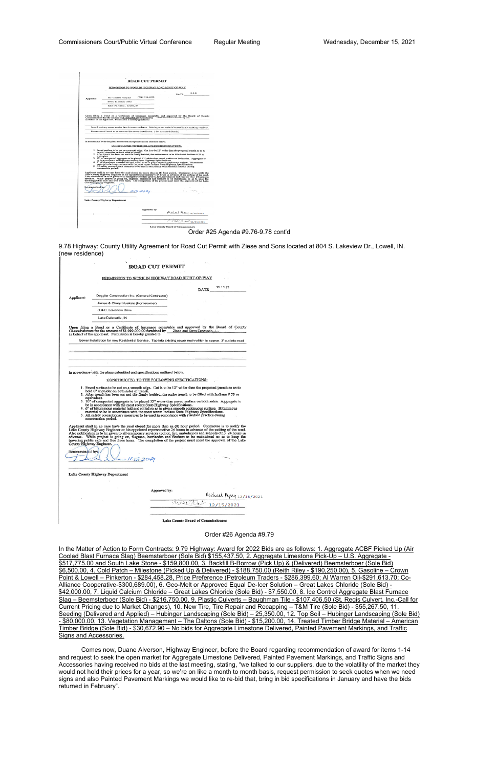|                                             | <b>ROAD CUT PERMIT</b>                                                                                                                                                                                                        |                          |  |
|---------------------------------------------|-------------------------------------------------------------------------------------------------------------------------------------------------------------------------------------------------------------------------------|--------------------------|--|
|                                             |                                                                                                                                                                                                                               |                          |  |
|                                             | PERMISSION TO WORK IN HIGHWAY ROAD RIGHT-OF-WAY                                                                                                                                                                               |                          |  |
|                                             | <b>DATE</b>                                                                                                                                                                                                                   | 11.9.21                  |  |
|                                             | $(708) 516 - 8532$<br>Mr. Charles Forsythe                                                                                                                                                                                    |                          |  |
| Applicant:                                  | 659 S. Lakeview Drive                                                                                                                                                                                                         |                          |  |
|                                             | Lake Dalecarlia - Lowell, IN                                                                                                                                                                                                  |                          |  |
|                                             |                                                                                                                                                                                                                               |                          |  |
|                                             |                                                                                                                                                                                                                               |                          |  |
|                                             | Upon filing a Bond or a Certificate of Insurance acceptable and approved by the Board of County Commissioners for the amount of \$1,000,000,000 furnished by Ziese and Sons Excavating Inc.                                   |                          |  |
|                                             | in behalf of the applicant. Permission is hereby granted to                                                                                                                                                                   |                          |  |
|                                             |                                                                                                                                                                                                                               |                          |  |
|                                             | Install sanitary sewer service line for new residence. Existing sewer main is located in the existing roadway.                                                                                                                |                          |  |
|                                             | Pavement will need to be removed for sewer installation. (See Attached Sketch)                                                                                                                                                |                          |  |
|                                             |                                                                                                                                                                                                                               |                          |  |
|                                             | in accordance with the plans submitted and specifications outlined below.                                                                                                                                                     |                          |  |
|                                             |                                                                                                                                                                                                                               |                          |  |
|                                             | CONSTRUCTED TO THE FOLLOWING SPECIFICATIONS:                                                                                                                                                                                  |                          |  |
|                                             | 1. Paved surface to be cut on a smooth edge. Cut is to be 12" wider than the proposed trench so as to<br>hold 6" shoulder on both sides of trench.                                                                            |                          |  |
|                                             | 2. After trench has been out and tile firmly bedded, the entire trench to be filled with Indiana # 73 or<br>equivalent.                                                                                                       |                          |  |
|                                             | 3. 10" of compacted aggregate to be placed 12" wider than paved surface on both sides. Aggregate to                                                                                                                           |                          |  |
|                                             | be in accordance with the most recent State Highway Specifications.<br>4. 6" of bituminous material laid and rolled so as to give a smooth continuous surface. Bituminous                                                     |                          |  |
|                                             | material to be in accordance with the most recent Indiana State Highway Specifications.<br>5. All safety precautionary measures to be used in accordance with standard practice during                                        |                          |  |
|                                             | construction period.                                                                                                                                                                                                          |                          |  |
|                                             | Applicant shall in no case have the road closed for more than an (8) hour period. Contractor is to notify the                                                                                                                 |                          |  |
|                                             |                                                                                                                                                                                                                               |                          |  |
|                                             | Approcedure abund in the case nave tree poses we can use the computer and a contract of the computer of the computer of the computer of the computer of the computer of the computer of the computer of the computer of the c |                          |  |
|                                             |                                                                                                                                                                                                                               |                          |  |
|                                             |                                                                                                                                                                                                                               |                          |  |
|                                             | $11 - 12 - 202$                                                                                                                                                                                                               |                          |  |
|                                             |                                                                                                                                                                                                                               |                          |  |
|                                             | Lake County Highway Department                                                                                                                                                                                                |                          |  |
|                                             |                                                                                                                                                                                                                               |                          |  |
|                                             | Approved by:                                                                                                                                                                                                                  |                          |  |
|                                             |                                                                                                                                                                                                                               | Michael Repay 12/15/2021 |  |
| County Highway Engineer.<br>Recommended by: |                                                                                                                                                                                                                               |                          |  |

Order #25 Agenda #9.76-9.78 cont'd

9.78 Highway: County Utility Agreement for Road Cut Permit with Ziese and Sons located at 804 S. Lakeview Dr., Lowell, IN. (new residence)

|                                             | PERMISSION TO WORK IN HIGHWAY ROAD RIGHT-OF-WAY                                                                                                                                                                                                                                                                                                                                                                                                                                                                                                                                                                                                                                                                                                                                                                                                                                                     |      |                                                     |
|---------------------------------------------|-----------------------------------------------------------------------------------------------------------------------------------------------------------------------------------------------------------------------------------------------------------------------------------------------------------------------------------------------------------------------------------------------------------------------------------------------------------------------------------------------------------------------------------------------------------------------------------------------------------------------------------------------------------------------------------------------------------------------------------------------------------------------------------------------------------------------------------------------------------------------------------------------------|------|-----------------------------------------------------|
|                                             |                                                                                                                                                                                                                                                                                                                                                                                                                                                                                                                                                                                                                                                                                                                                                                                                                                                                                                     | DATE | 11.11.21                                            |
| Applicant:                                  | Doppler Construction Inc. (General Contractor)                                                                                                                                                                                                                                                                                                                                                                                                                                                                                                                                                                                                                                                                                                                                                                                                                                                      |      |                                                     |
|                                             | James & Cheryl Huekels (Homeowner)                                                                                                                                                                                                                                                                                                                                                                                                                                                                                                                                                                                                                                                                                                                                                                                                                                                                  |      |                                                     |
|                                             | 804 S. Lakeview Drive                                                                                                                                                                                                                                                                                                                                                                                                                                                                                                                                                                                                                                                                                                                                                                                                                                                                               |      |                                                     |
|                                             | Lake Dalecarlia, IN                                                                                                                                                                                                                                                                                                                                                                                                                                                                                                                                                                                                                                                                                                                                                                                                                                                                                 |      |                                                     |
|                                             | Upon filing a Bond or a Certificate of Insurance acceptable and approved by the Board of County<br>Commissioners for the amount of \$1,000,000,00 furnished by Ziese and Sons Excavating Inc.<br>in behalf of the applicant. Permission is hereby granted to<br>Sewer Installation for new Residential Service. Tap into existing sewer main which is approx. 3' out into road                                                                                                                                                                                                                                                                                                                                                                                                                                                                                                                      |      |                                                     |
|                                             |                                                                                                                                                                                                                                                                                                                                                                                                                                                                                                                                                                                                                                                                                                                                                                                                                                                                                                     |      |                                                     |
|                                             |                                                                                                                                                                                                                                                                                                                                                                                                                                                                                                                                                                                                                                                                                                                                                                                                                                                                                                     |      |                                                     |
|                                             |                                                                                                                                                                                                                                                                                                                                                                                                                                                                                                                                                                                                                                                                                                                                                                                                                                                                                                     |      |                                                     |
|                                             |                                                                                                                                                                                                                                                                                                                                                                                                                                                                                                                                                                                                                                                                                                                                                                                                                                                                                                     |      |                                                     |
|                                             | in accordance with the plans submitted and specifications outlined below.                                                                                                                                                                                                                                                                                                                                                                                                                                                                                                                                                                                                                                                                                                                                                                                                                           |      |                                                     |
|                                             | CONSTRUCTED TO THE FOLLOWING SPECIFICATIONS:                                                                                                                                                                                                                                                                                                                                                                                                                                                                                                                                                                                                                                                                                                                                                                                                                                                        |      |                                                     |
|                                             | 1. Paved surface to be cut on a smooth edge. Cut is to be 12" wider than the proposed trench so as to<br>hold 6" shoulder on both sides of trench.<br>2. After trench has been cut and tile firmly bedded, the entire trench to be filled with Indiana #73 or<br>equivalent.<br>3. 10" of compacted aggregate to be placed 12" wider than paved surface on both sides. Aggregate to<br>be in accordance with the most recent State Highway Specifications.<br>4. 6" of bituminous material laid and rolled so as to give a smooth continuous surface. Bituminous<br>material to be in accordance with the most recent Indiana State Highway Specifications.<br>5. All safety precautionary measures to be used in accordance with standard practice during<br>construction period.<br>Applicant shall in no case have the road closed for more than an (8) hour period. Contractor is to notify the |      |                                                     |
|                                             | Lake County Highway Engineer or his appointed representative 24 hours in advance of the cutting of the road.<br>Also notification is to be given to all emergency services (police, fire, ambulances and schools etc.) 24 hours in advance. While project is going on, flagman, barricades and flashers to be maintained so as to keep the<br>traveling public safe and free from harm. The completion of the project must meet the approval of the Lake                                                                                                                                                                                                                                                                                                                                                                                                                                            |      |                                                     |
|                                             |                                                                                                                                                                                                                                                                                                                                                                                                                                                                                                                                                                                                                                                                                                                                                                                                                                                                                                     |      |                                                     |
|                                             |                                                                                                                                                                                                                                                                                                                                                                                                                                                                                                                                                                                                                                                                                                                                                                                                                                                                                                     |      |                                                     |
|                                             | $-11.12.2021$                                                                                                                                                                                                                                                                                                                                                                                                                                                                                                                                                                                                                                                                                                                                                                                                                                                                                       |      |                                                     |
|                                             |                                                                                                                                                                                                                                                                                                                                                                                                                                                                                                                                                                                                                                                                                                                                                                                                                                                                                                     |      |                                                     |
|                                             | <b>Lake County Highway Department</b>                                                                                                                                                                                                                                                                                                                                                                                                                                                                                                                                                                                                                                                                                                                                                                                                                                                               |      |                                                     |
|                                             |                                                                                                                                                                                                                                                                                                                                                                                                                                                                                                                                                                                                                                                                                                                                                                                                                                                                                                     |      |                                                     |
| County Highway Engineer.<br>Recommended by: | Approved by:                                                                                                                                                                                                                                                                                                                                                                                                                                                                                                                                                                                                                                                                                                                                                                                                                                                                                        |      |                                                     |
|                                             |                                                                                                                                                                                                                                                                                                                                                                                                                                                                                                                                                                                                                                                                                                                                                                                                                                                                                                     |      | Michael Repay 12/15/2021<br>https://www.michael.htm |

Order #26 Agenda #9.79

In the Matter of Action to Form Contracts: 9.79 Highway: Award for 2022 Bids are as follows: 1. Aggregate ACBF Picked Up (Air Cooled Blast Furnace Slag) Beemsterboer (Sole Bid) \$155,437.50, 2. Aggregate Limestone Pick-Up – U.S. Aggregate - \$517,775.00 and South Lake Stone - \$159,800.00, 3. Backfill B-Borrow (Pick Up) & (Delivered) Beemsterboer (Sole Bid) \$6,500.00, 4. Cold Patch – Milestone (Picked Up & Delivered) - \$188,750.00 (Reith Riley - \$190,250.00), 5. Gasoline – Crown Point & Lowell – Pinkerton - \$284,458.28, Price Preference (Petroleum Traders - \$286,399.60; Al Warren Oil-\$291,613.70; Co-Alliance Cooperative-\$300,689.00), 6. Geo-Melt or Approved Equal De-Icer Solution – Great Lakes Chloride (Sole Bid) - \$42,000.00, 7. Liquid Calcium Chloride – Great Lakes Chloride (Sole Bid) - \$7,550.00, 8. Ice Control Aggregate Blast Furnace Slag – Beemsterboer (Sole Bid) - \$216,750.00, 9. Plastic Culverts – Baughman Tile - \$107,406.50 (St. Regis Culvert, Inc.-Call for Current Pricing due to Market Changes), 10. New Tire, Tire Repair and Recapping – T&M Tire (Sole Bid) - \$55,267.50, 11. Seeding (Delivered and Applied) – Hubinger Landscaping (Sole Bid) – 25,350.00, 12. Top Soil – Hubinger Landscaping (Sole Bid) - \$80,000.00, 13. Vegetation Management – The Daltons (Sole Bid) - \$15,200.00, 14. Treated Timber Bridge Material – American Timber Bridge (Sole Bid) - \$30,672.90 – No bids for Aggregate Limestone Delivered, Painted Pavement Markings, and Traffic Signs and Accessories.

 Comes now, Duane Alverson, Highway Engineer, before the Board regarding recommendation of award for items 1-14 and request to seek the open market for Aggregate Limestone Delivered, Painted Pavement Markings, and Traffic Signs and Accessories having received no bids at the last meeting, stating, "we talked to our suppliers, due to the volatility of the market they would not hold their prices for a year, so we're on like a month to month basis, request permission to seek quotes when we need signs and also Painted Pavement Markings we would like to re-bid that, bring in bid specifications in January and have the bids returned in February".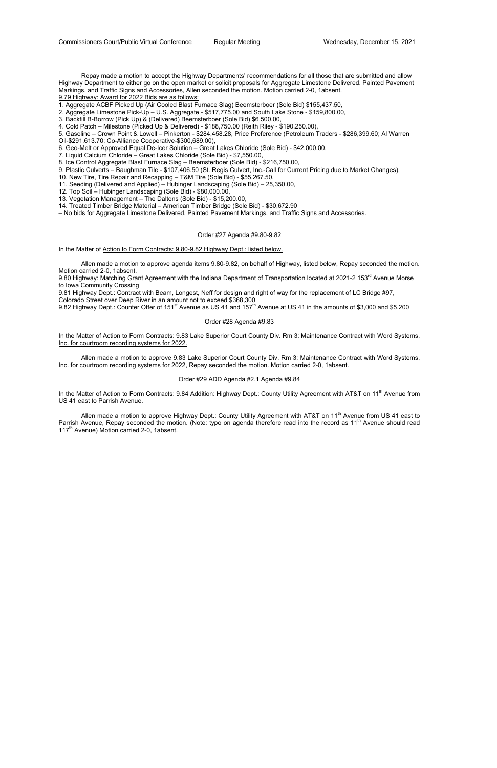Repay made a motion to accept the Highway Departments' recommendations for all those that are submitted and allow Highway Department to either go on the open market or solicit proposals for Aggregate Limestone Delivered, Painted Pavement Markings, and Traffic Signs and Accessories, Allen seconded the motion. Motion carried 2-0, 1absent. 9.79 Highway: Award for 2022 Bids are as follows:

1. Aggregate ACBF Picked Up (Air Cooled Blast Furnace Slag) Beemsterboer (Sole Bid) \$155,437.50,

2. Aggregate Limestone Pick-Up – U.S. Aggregate - \$517,775.00 and South Lake Stone - \$159,800.00,

3. Backfill B-Borrow (Pick Up) & (Delivered) Beemsterboer (Sole Bid) \$6,500.00,

4. Cold Patch – Milestone (Picked Up & Delivered) - \$188,750.00 (Reith Riley - \$190,250.00),

5. Gasoline – Crown Point & Lowell – Pinkerton - \$284,458.28, Price Preference (Petroleum Traders - \$286,399.60; Al Warren Oil-\$291,613.70; Co-Alliance Cooperative-\$300,689.00),

6. Geo-Melt or Approved Equal De-Icer Solution – Great Lakes Chloride (Sole Bid) - \$42,000.00,

9.80 Highway: Matching Grant Agreement with the Indiana Department of Transportation located at 2021-2 153<sup>rd</sup> Avenue Morse to Iowa Community Crossing

7. Liquid Calcium Chloride – Great Lakes Chloride (Sole Bid) - \$7,550.00,

8. Ice Control Aggregate Blast Furnace Slag – Beemsterboer (Sole Bid) - \$216,750.00,

9. Plastic Culverts – Baughman Tile - \$107,406.50 (St. Regis Culvert, Inc.-Call for Current Pricing due to Market Changes),

In the Matter of Action to Form Contracts: 9.83 Lake Superior Court County Div. Rm 3: Maintenance Contract with Word Systems, Inc. for courtroom recording systems for 2022.

10. New Tire, Tire Repair and Recapping – T&M Tire (Sole Bid) - \$55,267.50,

11. Seeding (Delivered and Applied) – Hubinger Landscaping (Sole Bid) – 25,350.00,

12. Top Soil – Hubinger Landscaping (Sole Bid) - \$80,000.00,

In the Matter of Action to Form Contracts: 9.84 Addition: Highway Dept.: County Utility Agreement with AT&T on 11<sup>th</sup> Avenue from US 41 east to Parrish Avenue.

Allen made a motion to approve Highway Dept.: County Utility Agreement with AT&T on 11<sup>th</sup> Avenue from US 41 east to Parrish Avenue, Repay seconded the motion. (Note: typo on agenda therefore read into the record as 11<sup>th</sup> Avenue should read 117<sup>th</sup> Avenue) Motion carried 2-0, 1absent.

13. Vegetation Management – The Daltons (Sole Bid) - \$15,200.00,

14. Treated Timber Bridge Material – American Timber Bridge (Sole Bid) - \$30,672.90

– No bids for Aggregate Limestone Delivered, Painted Pavement Markings, and Traffic Signs and Accessories.

#### Order #27 Agenda #9.80-9.82

In the Matter of Action to Form Contracts: 9.80-9.82 Highway Dept.: listed below.

 Allen made a motion to approve agenda items 9.80-9.82, on behalf of Highway, listed below, Repay seconded the motion. Motion carried 2-0, 1absent.

9.81 Highway Dept.: Contract with Beam, Longest, Neff for design and right of way for the replacement of LC Bridge #97, Colorado Street over Deep River in an amount not to exceed \$368,300

9.82 Highway Dept.: Counter Offer of 151<sup>st</sup> Avenue as US 41 and 157<sup>th</sup> Avenue at US 41 in the amounts of \$3,000 and \$5,200

#### Order #28 Agenda #9.83

 Allen made a motion to approve 9.83 Lake Superior Court County Div. Rm 3: Maintenance Contract with Word Systems, Inc. for courtroom recording systems for 2022, Repay seconded the motion. Motion carried 2-0, 1absent.

### Order #29 ADD Agenda #2.1 Agenda #9.84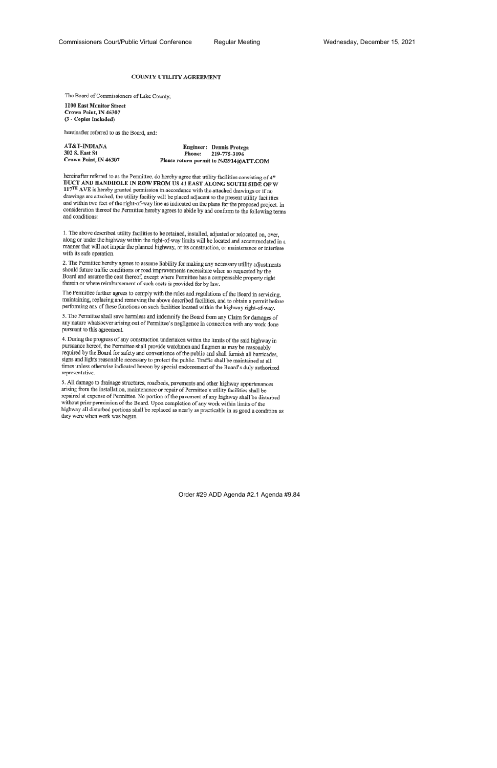#### **COUNTY UTILITY AGREEMENT**

The Board of Commissioners of Lake County;

1100 East Monitor Street Crown Point, IN 46307 (3 - Copies Included)

hereinafter referred to as the Board, and:

| <b>AT&amp;T-INDIANA</b> |        | Engineer: Dennis Protega               |
|-------------------------|--------|----------------------------------------|
| 302 S. East St          | Phone: | 219-775-3196                           |
| Crown Point, IN 46307   |        | Please return permit to NJ2914@ATT.COM |

hereinafter referred to as the Permittee, do hereby agree that utility facilities consisting of 4" DUCT AND HANDHOLE IN ROW FROM US 41 EAST ALONG SOUTH SIDE OF W 117<sup>TH</sup> AVE is hereby granted permission in accordance with the attached drawings or if no drawings are attached, the utility facility will be placed adjacent to the present utility facilities and within two feet of the right-of-way line as indicated on the plans for the proposed project. In consideration thereof the Permittee hereby agrees to abide by and conform to the following terms and conditions:

1. The above described utility facilities to be retained, installed, adjusted or relocated on, over, along or under the highway within the right-of-way limits will be located and accommodated in a manner that will not impair the planned highway, or its construction, or maintenance or interfere with its safe operation.

2. The Permittee hereby agrees to assume liability for making any necessary utility adjustments should future traffic conditions or road improvements necessitate when so requested by the Board and assume the cost thereof, except where Permittee has a compensable property right therein or where reimbursement of such costs is provided for by law.

The Permittee further agrees to comply with the rules and regulations of the Board in servicing, maintaining, replacing and removing the above described facilities, and to obtain a permit before performing any of these functions on such facilities located within the highway right-of-way.

3. The Permittee shall save harmless and indemnify the Board from any Claim for damages of any nature whatsoever arising out of Permittee's negligence in connection with any work done pursuant to this agreement.

4. During the progress of any construction undertaken within the limits of the said highway in pursuance hereof, the Permittee shall provide watchmen and flagmen as may be reasonably required by the Board for safety and convenience of the public and shall furnish all barricades, signs and lights reasonable necessary to protect the public. Traffic shall be maintained at all times unless otherwise indicated hereon by special endorsement of the Board's duly authorized representative.

5. All damage to drainage structures, roadbeds, pavements and other highway appurtenances arising from the installation, maintenance or repair of Permittee's utility facilities shall be repaired at expense of Permittee. No portion of the pavement of any highway shall be disturbed without prior permission of the Board. Upon completion of any work within limits of the highway all disturbed portions shall be replaced as nearly as practicable in as good a condition as they were when work was begun.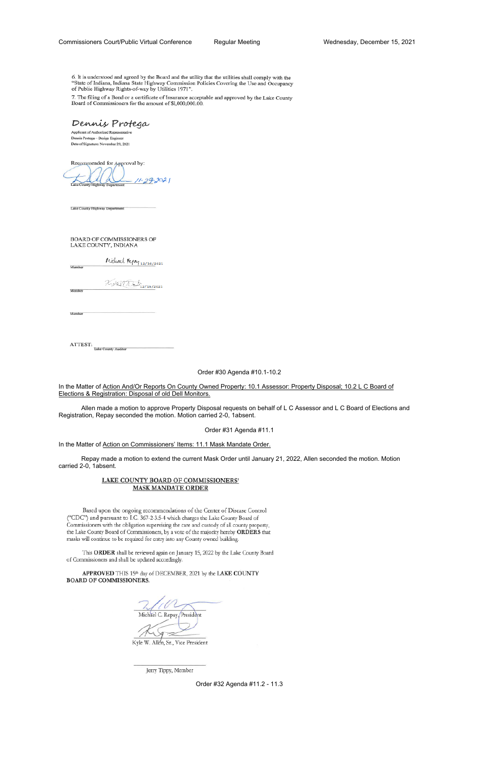6. It is understood and agreed by the Board and the utility that the utilities shall comply with the "State of Indiana, Indiana State Highway Commission Policies Covering the Use and Occupancy of Public Highway Rights-of-way by Utilities 1971".

7. The filing of a Bond or a certificate of Insurance acceptable and approved by the Lake County Board of Commissioners for the amount of \$1,000,000.00.

Dennis Protega

Applicant of Authorized Representative Dennis Protega - Design Engineer Date of Signature: November 29, 2021

Recommended for Approval by:

 $29.2021$ 

Lake County Highway Department

Memb

Membe

Member

BOARD OF COMMISSIONERS OF LAKE COUNTY, INDIANA

Michael Repay 12/16/2021

740 1 1 1 2/15/2021

ATTEST: Lake County Auditor

Order #30 Agenda #10.1-10.2

In the Matter of Action And/Or Reports On County Owned Property: 10.1 Assessor: Property Disposal; 10.2 L C Board of Elections & Registration: Disposal of old Dell Monitors.

 Allen made a motion to approve Property Disposal requests on behalf of L C Assessor and L C Board of Elections and Registration, Repay seconded the motion. Motion carried 2-0, 1absent.

Order #31 Agenda #11.1

In the Matter of Action on Commissioners' Items: 11.1 Mask Mandate Order.

 Repay made a motion to extend the current Mask Order until January 21, 2022, Allen seconded the motion. Motion carried 2-0, 1absent.

## LAKE COUNTY BOARD OF COMMISSIONERS' **MASK MANDATE ORDER**

Based upon the ongoing recommendations of the Center of Disease Control ("CDC") and pursuant to I.C. 367-2-3.5-4 which charges the Lake County Board of Commissioners with the obligation supervising the care and custody of all county property, the Lake County Board of Commissioners, by a vote of the majority hereby ORDERS that masks will continue to be required for entry into any County owned building.

This ORDER shall be reviewed again on January 15, 2022 by the Lake County Board of Commissioners and shall be updated accordingly.

APPROVED THIS 15th day of DECEMBER, 2021 by the LAKE COUNTY **BOARD OF COMMISSIONERS.** 

Michael C. Repay President

Kyle W. Allen, Sr., Vice President

Jerry Tippy, Member

Order #32 Agenda #11.2 - 11.3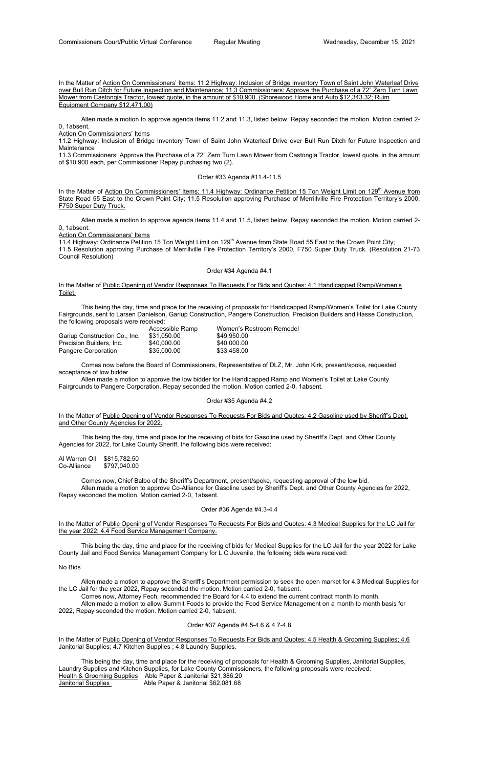In the Matter of Action On Commissioners' Items: 11.2 Highway: Inclusion of Bridge Inventory Town of Saint John Waterleaf Drive over Bull Run Ditch for Future Inspection and Maintenance; 11.3 Commissioners: Approve the Purchase of a 72" Zero Turn Lawn Mower from Castongia Tractor, lowest quote, in the amount of \$10,900. (Shorewood Home and Auto \$12,343.32; Ruim Equipment Company \$12,471.00)

 Allen made a motion to approve agenda items 11.2 and 11.3, listed below, Repay seconded the motion. Motion carried 2- 0, 1absent.

Action On Commissioners' Items

In the Matter of Action On Commissioners' Items: 11.4 Highway: Ordinance Petition 15 Ton Weight Limit on 129<sup>th</sup> Avenue from State Road 55 East to the Crown Point City; 11.5 Resolution approving Purchase of Merrillville Fire Protection Territory's 2000, F750 Super Duty Truck.

11.2 Highway: Inclusion of Bridge Inventory Town of Saint John Waterleaf Drive over Bull Run Ditch for Future Inspection and Maintenance

11.4 Highway: Ordinance Petition 15 Ton Weight Limit on 129<sup>th</sup> Avenue from State Road 55 East to the Crown Point City; 11.5 Resolution approving Purchase of Merrillville Fire Protection Territory's 2000, F750 Super Duty Truck. (Resolution 21-73 Council Resolution)

11.3 Commissioners: Approve the Purchase of a 72" Zero Turn Lawn Mower from Castongia Tractor, lowest quote, in the amount of \$10,900 each, per Commissioner Repay purchasing two (2).

In the Matter of Public Opening of Vendor Responses To Requests For Bids and Quotes: 4.1 Handicapped Ramp/Women's Toilet.

## Order #33 Agenda #11.4-11.5

 Allen made a motion to approve agenda items 11.4 and 11.5, listed below, Repay seconded the motion. Motion carried 2- 0, 1absent.

In the Matter of Public Opening of Vendor Responses To Requests For Bids and Quotes: 4.2 Gasoline used by Sheriff's Dept. and Other County Agencies for 2022.

Action On Commissioners' Items

Al Warren Oil \$815,782.50 \$797,040.00

### Order #34 Agenda #4.1

In the Matter of Public Opening of Vendor Responses To Requests For Bids and Quotes: 4.3 Medical Supplies for the LC Jail for the year 2022; 4.4 Food Service Management Company.

 This being the day, time and place for the receiving of proposals for Handicapped Ramp/Women's Toilet for Lake County Fairgrounds, sent to Larsen Danielson, Gariup Construction, Pangere Construction, Precision Builders and Hasse Construction, the following proposals were received:

|                               | Accessible Ramp | Women's Restroom Remodel |
|-------------------------------|-----------------|--------------------------|
| Gariup Construction Co., Inc. | \$31.050.00     | \$49.950.00              |
| Precision Builders. Inc.      | \$40,000.00     | \$40,000.00              |
| Pangere Corporation           | \$35,000.00     | \$33.458.00              |

In the Matter of Public Opening of Vendor Responses To Requests For Bids and Quotes: 4.5 Health & Grooming Supplies; 4.6 Janitorial Supplies; 4.7 Kitchen Supplies ; 4.8 Laundry Supplies.

 This being the day, time and place for the receiving of proposals for Health & Grooming Supplies, Janitorial Supplies, Laundry Supplies and Kitchen Supplies, for Lake County Commissioners, the following proposals were received: Health & Grooming Supplies Able Paper & Janitorial \$21,386.20 Janitorial Supplies **Able Paper & Janitorial \$62,081.68** 

 Comes now before the Board of Commissioners, Representative of DLZ, Mr. John Kirk, present/spoke, requested acceptance of low bidder.

 Allen made a motion to approve the low bidder for the Handicapped Ramp and Women's Toilet at Lake County Fairgrounds to Pangere Corporation, Repay seconded the motion. Motion carried 2-0, 1absent.

## Order #35 Agenda #4.2

 This being the day, time and place for the receiving of bids for Gasoline used by Sheriff's Dept. and Other County Agencies for 2022, for Lake County Sheriff, the following bids were received:

 Comes now, Chief Balbo of the Sheriff's Department, present/spoke, requesting approval of the low bid. Allen made a motion to approve Co-Alliance for Gasoline used by Sheriff's Dept. and Other County Agencies for 2022, Repay seconded the motion. Motion carried 2-0, 1absent.

### Order #36 Agenda #4.3-4.4

 This being the day, time and place for the receiving of bids for Medical Supplies for the LC Jail for the year 2022 for Lake County Jail and Food Service Management Company for L C Juvenile, the following bids were received:

No Bids

 Allen made a motion to approve the Sheriff's Department permission to seek the open market for 4.3 Medical Supplies for the LC Jail for the year 2022, Repay seconded the motion. Motion carried 2-0, 1absent.

Comes now, Attorney Fech, recommended the Board for 4.4 to extend the current contract month to month.

 Allen made a motion to allow Summit Foods to provide the Food Service Management on a month to month basis for 2022, Repay seconded the motion. Motion carried 2-0, 1absent.

## Order #37 Agenda #4.5-4.6 & 4.7-4.8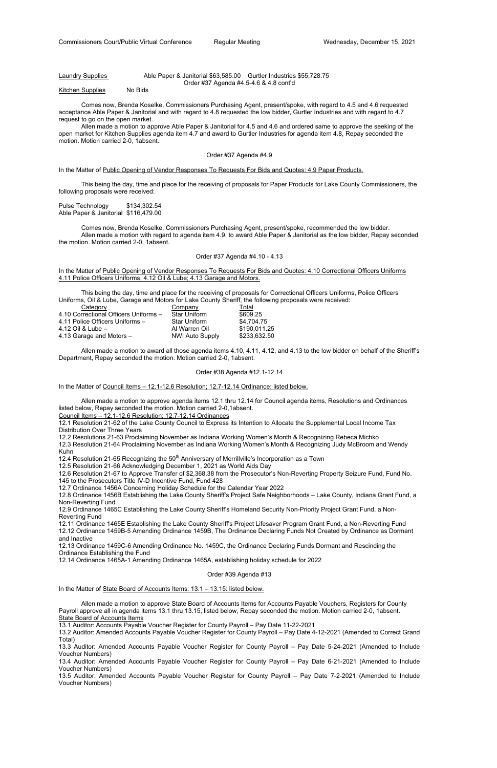## Laundry Supplies Able Paper & Janitorial \$63,585.00 Gurtler Industries \$55,728.75 Order #37 Agenda #4.5-4.6 & 4.8 cont'd

Kitchen Supplies No Bids

 Comes now, Brenda Koselke, Commissioners Purchasing Agent, present/spoke, with regard to 4.5 and 4.6 requested acceptance Able Paper & Janitorial and with regard to 4.8 requested the low bidder, Gurtler Industries and with regard to 4.7 request to go on the open market.

Pulse Technology \$134,302.54 Able Paper & Janitorial \$116,479.00

 Allen made a motion to approve Able Paper & Janitorial for 4.5 and 4.6 and ordered same to approve the seeking of the open market for Kitchen Supplies agenda item 4.7 and award to Gurtler Industries for agenda item 4.8, Repay seconded the motion. Motion carried 2-0, 1absent.

#### Order #37 Agenda #4.9

In the Matter of Public Opening of Vendor Responses To Requests For Bids and Quotes: 4.9 Paper Products.

 This being the day, time and place for the receiving of proposals for Paper Products for Lake County Commissioners, the following proposals were received:

 Comes now, Brenda Koselke, Commissioners Purchasing Agent, present/spoke, recommended the low bidder. Allen made a motion with regard to agenda item 4.9, to award Able Paper & Janitorial as the low bidder, Repay seconded the motion. Motion carried 2-0, 1absent.

## Order #37 Agenda #4.10 - 4.13

In the Matter of Public Opening of Vendor Responses To Requests For Bids and Quotes: 4.10 Correctional Officers Uniforms 4.11 Police Officers Uniforms; 4.12 Oil & Lube; 4.13 Garage and Motors.

 This being the day, time and place for the receiving of proposals for Correctional Officers Uniforms, Police Officers Uniforms, Oil & Lube, Garage and Motors for Lake County Sheriff, the following proposals were received:

| Category                              | Company                | Total        |
|---------------------------------------|------------------------|--------------|
| 4.10 Correctional Officers Uniforms - | <b>Star Uniform</b>    | \$609.25     |
| 4.11 Police Officers Uniforms -       | <b>Star Uniform</b>    | \$4,704.75   |
| 4.12 Oil & Lube $-$                   | Al Warren Oil          | \$190,011.25 |
| 4.13 Garage and Motors -              | <b>NWI Auto Supply</b> | \$233,632.50 |

 Allen made a motion to award all those agenda items 4.10, 4.11, 4.12, and 4.13 to the low bidder on behalf of the Sheriff's Department, Repay seconded the motion. Motion carried 2-0, 1absent.

#### Order #38 Agenda #12.1-12.14

In the Matter of Council Items – 12.1-12.6 Resolution; 12.7-12.14 Ordinance: listed below.

 Allen made a motion to approve agenda items 12.1 thru 12.14 for Council agenda items, Resolutions and Ordinances listed below, Repay seconded the motion. Motion carried 2-0,1absent.

Council Items – 12.1-12.6 Resolution; 12.7-12.14 Ordinances

12.1 Resolution 21-62 of the Lake County Council to Express its Intention to Allocate the Supplemental Local Income Tax Distribution Over Three Years

12.2 Resolutions 21-63 Proclaiming November as Indiana Working Women's Month & Recognizing Rebeca Michko

12.3 Resolution 21-64 Proclaiming November as Indiana Working Women's Month & Recognizing Judy McBroom and Wendy Kuhn

12.4 Resolution 21-65 Recognizing the 50<sup>th</sup> Anniversary of Merrillville's Incorporation as a Town

12.5 Resolution 21-66 Acknowledging December 1, 2021 as World Aids Day

12.6 Resolution 21-67 to Approve Transfer of \$2,368.38 from the Prosecutor's Non-Reverting Property Seizure Fund, Fund No. 145 to the Prosecutors Title IV-D Incentive Fund, Fund 428

12.7 Ordinance 1456A Concerning Holiday Schedule for the Calendar Year 2022

12.8 Ordinance 1456B Establishing the Lake County Sheriff's Project Safe Neighborhoods – Lake County, Indiana Grant Fund, a Non-Reverting Fund

12.9 Ordinance 1465C Establishing the Lake County Sheriff's Homeland Security Non-Priority Project Grant Fund, a Non-Reverting Fund

12.11 Ordinance 1465E Establishing the Lake County Sheriff's Project Lifesaver Program Grant Fund, a Non-Reverting Fund 12.12 Ordinance 1459B-5 Amending Ordinance 1459B, The Ordinance Declaring Funds Not Created by Ordinance as Dormant and Inactive

12.13 Ordinance 1459C-6 Amending Ordinance No. 1459C, the Ordinance Declaring Funds Dormant and Rescinding the Ordinance Establishing the Fund

12.14 Ordinance 1465A-1 Amending Ordinance 1465A, establishing holiday schedule for 2022

## Order #39 Agenda #13

In the Matter of State Board of Accounts Items: 13.1 – 13.15: listed below.

 Allen made a motion to approve State Board of Accounts Items for Accounts Payable Vouchers, Registers for County Payroll approve all in agenda items 13.1 thru 13.15, listed below, Repay seconded the motion. Motion carried 2-0, 1absent. State Board of Accounts Items

13.1 Auditor: Accounts Payable Voucher Register for County Payroll – Pay Date 11-22-2021

13.2 Auditor: Amended Accounts Payable Voucher Register for County Payroll – Pay Date 4-12-2021 (Amended to Correct Grand Total)

13.3 Auditor: Amended Accounts Payable Voucher Register for County Payroll – Pay Date 5-24-2021 (Amended to Include Voucher Numbers)

13.4 Auditor: Amended Accounts Payable Voucher Register for County Payroll – Pay Date 6-21-2021 (Amended to Include Voucher Numbers)

13.5 Auditor: Amended Accounts Payable Voucher Register for County Payroll – Pay Date 7-2-2021 (Amended to Include Voucher Numbers)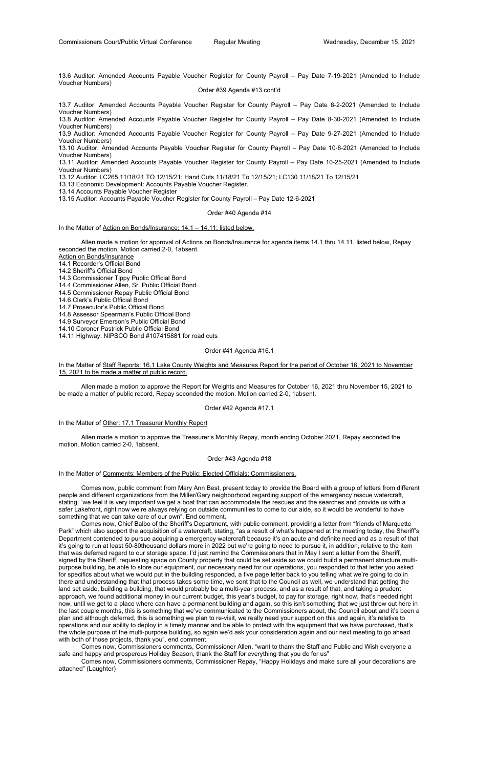13.6 Auditor: Amended Accounts Payable Voucher Register for County Payroll – Pay Date 7-19-2021 (Amended to Include Voucher Numbers)

Order #39 Agenda #13 cont'd

13.7 Auditor: Amended Accounts Payable Voucher Register for County Payroll – Pay Date 8-2-2021 (Amended to Include Voucher Numbers)

13.8 Auditor: Amended Accounts Payable Voucher Register for County Payroll – Pay Date 8-30-2021 (Amended to Include Voucher Numbers)

13.9 Auditor: Amended Accounts Payable Voucher Register for County Payroll – Pay Date 9-27-2021 (Amended to Include Voucher Numbers)

13.10 Auditor: Amended Accounts Payable Voucher Register for County Payroll – Pay Date 10-8-2021 (Amended to Include Voucher Numbers)

13.11 Auditor: Amended Accounts Payable Voucher Register for County Payroll – Pay Date 10-25-2021 (Amended to Include Voucher Numbers)

13.12 Auditor: LC265 11/18/21 TO 12/15/21; Hand Cuts 11/18/21 To 12/15/21; LC130 11/18/21 To 12/15/21

13.13 Economic Development: Accounts Payable Voucher Register.

13.14 Accounts Payable Voucher Register

13.15 Auditor: Accounts Payable Voucher Register for County Payroll – Pay Date 12-6-2021

Order #40 Agenda #14

In the Matter of Action on Bonds/Insurance: 14.1 – 14.11: listed below.

 Allen made a motion for approval of Actions on Bonds/Insurance for agenda items 14.1 thru 14.11, listed below, Repay seconded the motion. Motion carried 2-0, 1absent.

Action on Bonds/Insurance

14.1 Recorder's Official Bond

14.2 Sheriff's Official Bond

14.3 Commissioner Tippy Public Official Bond

14.4 Commissioner Allen, Sr. Public Official Bond

14.5 Commissioner Repay Public Official Bond

14.6 Clerk's Public Official Bond

14.7 Prosecutor's Public Official Bond

14.8 Assessor Spearman's Public Official Bond

14.9 Surveyor Emerson's Public Official Bond

14.10 Coroner Pastrick Public Official Bond

14.11 Highway: NIPSCO Bond #107415881 for road cuts

### Order #41 Agenda #16.1

In the Matter of Staff Reports: 16.1 Lake County Weights and Measures Report for the period of October 16, 2021 to November 15, 2021 to be made a matter of public record.

 Allen made a motion to approve the Report for Weights and Measures for October 16, 2021 thru November 15, 2021 to be made a matter of public record, Repay seconded the motion. Motion carried 2-0, 1absent.

### Order #42 Agenda #17.1

In the Matter of Other: 17.1 Treasurer Monthly Report

 Allen made a motion to approve the Treasurer's Monthly Repay, month ending October 2021, Repay seconded the motion. Motion carried 2-0, 1absent.

#### Order #43 Agenda #18

In the Matter of Comments: Members of the Public; Elected Officials; Commissioners.

 Comes now, public comment from Mary Ann Best, present today to provide the Board with a group of letters from different people and different organizations from the Miller/Gary neighborhood regarding support of the emergency rescue watercraft, stating, "we feel it is very important we get a boat that can accommodate the rescues and the searches and provide us with a safer Lakefront, right now we're always relying on outside communities to come to our aide, so it would be wonderful to have something that we can take care of our own". End comment.

 Comes now, Chief Balbo of the Sheriff's Department, with public comment, providing a letter from "friends of Marquette Park" which also support the acquisition of a watercraft, stating, "as a result of what's happened at the meeting today, the Sheriff's Department contended to pursue acquiring a emergency watercraft because it's an acute and definite need and as a result of that it's going to run at least 50-80thousand dollars more in 2022 but we're going to need to pursue it, in addition, relative to the item that was deferred regard to our storage space, I'd just remind the Commissioners that in May I sent a letter from the Sheriff, signed by the Sheriff, requesting space on County property that could be set aside so we could build a permanent structure multipurpose building, be able to store our equipment, our necessary need for our operations, you responded to that letter you asked for specifics about what we would put in the building responded, a five page letter back to you telling what we're going to do in there and understanding that that process takes some time, we sent that to the Council as well, we understand that getting the land set aside, building a building, that would probably be a multi-year process, and as a result of that, and taking a prudent approach, we found additional money in our current budget, this year's budget, to pay for storage, right now, that's needed right now, until we get to a place where can have a permanent building and again, so this isn't something that we just threw out here in the last couple months, this is something that we've communicated to the Commissioners about, the Council about and it's been a plan and although deferred, this is something we plan to re-visit, we really need your support on this and again, it's relative to operations and our ability to deploy in a timely manner and be able to protect with the equipment that we have purchased, that's the whole purpose of the multi-purpose building, so again we'd ask your consideration again and our next meeting to go ahead with both of those projects, thank you", end comment.

 Comes now, Commissioners comments, Commissioner Allen, "want to thank the Staff and Public and Wish everyone a safe and happy and prosperous Holiday Season, thank the Staff for everything that you do for us"

 Comes now, Commissioners comments, Commissioner Repay, "Happy Holidays and make sure all your decorations are attached" (Laughter)